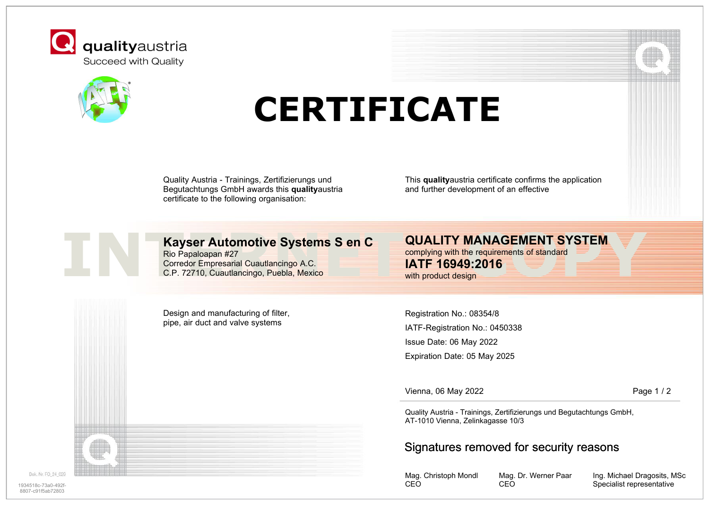



# **CERTIFICATE**

Quality Austria - Trainings, Zertifizierungs und Begutachtungs GmbH awards this **quality**austria certificate to the following organisation:

This **quality**austria certificate confirms the application and further development of an effective

# **Kayser Automotive Systems S en C**

Rio Papaloapan #27 Corredor Empresarial Cuautlancingo A.C. C.P. 72710, Cuautlancingo, Puebla, Mexico

Design and manufacturing of filter, pipe, air duct and valve systems

**QUALITY MANAGEMENT SYSTEM**

**INTERNET SAULTY MANAGEMENT STATEM**<br>
Rio Papaloapan #27<br>
Corredor Empresarial Cuautlancingo A.C.<br>
C.P. 72710, Cuautlancingo, Puebla, Mexico<br> **IATF 16949:2016**<br>
With product design<br>
With product design complying with the requirements of standard **IATF 16949:2016** with product design

> IATF-Registration No.: 0450338 Registration No.: 08354/8 Issue Date: 06 May 2022 Expiration Date: 05 May 2025

Vienna, 06 May 2022

Page 1 / 2

Quality Austria - Trainings, Zertifizierungs und Begutachtungs GmbH, AT-1010 Vienna, Zelinkagasse 10/3

## Signatures removed for security reasons

Mag. Christoph Mondl CEO

Mag. Dr. Werner Paar CEO

Ing. Michael Dragosits, MSc Specialist representative

Dok, Nr. FO 24 029

1934518c-73a0-492f-8807-c91f5ab72803